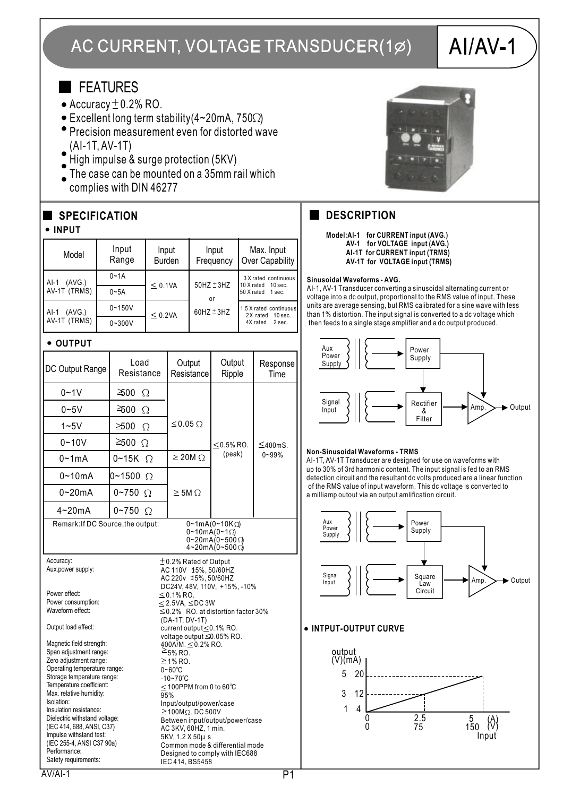# AC CURRENT, VOLTAGE TRANSDUCER(1Ø)

# $AI/AV-1$

## **FEATURES**

- $\bullet$  Accuracy  $\pm$  0.2% RO.
- $\bullet$  Excellent long term stability(4~20mA, 750 $\Omega$ )
- Precision measurement even for distorted wave (AI-1T, AV-1T)
- High impulse & surge protection (5KV)
- The case can be mounted on a  $35$ mm rail which complies with DIN 46277

## **SPECIFICATION**

#### **INPUT**

| Model                            | Input<br>Range | Input<br><b>Burden</b> | Input<br>Frequency                         | Max. Input<br>Over Capability                                    |
|----------------------------------|----------------|------------------------|--------------------------------------------|------------------------------------------------------------------|
| (AVG.)<br>$AI-1$<br>AV-1T (TRMS) | $0 - 1A$       | $\leq$ 0.1VA           | $50$ HZ $±3$ HZ<br>or<br>$60$ HZ $\pm$ 3HZ | 3 X rated continuous<br>10 X rated 10 sec.<br>50 X rated 1 sec.  |
|                                  | $0 - 5A$       |                        |                                            |                                                                  |
| (AVG.)<br>$AI-1$<br>AV-1T (TRMS) | $0 - 150V$     | $\leq$ 0.2VA           |                                            | 1.5 X rated continuous<br>2X rated 10 sec.<br>4X rated<br>2 sec. |
|                                  | $0 - 300V$     |                        |                                            |                                                                  |

#### **• OUTPUT**

| DC Output Range                                                                                                                                                                                                                                                                                                                                                                                                                                                                                     | Load<br>Resistance                                                                                                                                                                                                                                                                                                                                                                                                                                                                                                                                                                                                                                                         | Output<br>Resistance | Output<br>Ripple | Response<br>Time           |  |  |
|-----------------------------------------------------------------------------------------------------------------------------------------------------------------------------------------------------------------------------------------------------------------------------------------------------------------------------------------------------------------------------------------------------------------------------------------------------------------------------------------------------|----------------------------------------------------------------------------------------------------------------------------------------------------------------------------------------------------------------------------------------------------------------------------------------------------------------------------------------------------------------------------------------------------------------------------------------------------------------------------------------------------------------------------------------------------------------------------------------------------------------------------------------------------------------------------|----------------------|------------------|----------------------------|--|--|
| $0 - 1V$                                                                                                                                                                                                                                                                                                                                                                                                                                                                                            | 300<br>Ω                                                                                                                                                                                                                                                                                                                                                                                                                                                                                                                                                                                                                                                                   |                      |                  |                            |  |  |
| $0 - 5V$                                                                                                                                                                                                                                                                                                                                                                                                                                                                                            | $\geq 500$<br>$\Omega$                                                                                                                                                                                                                                                                                                                                                                                                                                                                                                                                                                                                                                                     |                      |                  |                            |  |  |
| $1 - 5V$                                                                                                                                                                                                                                                                                                                                                                                                                                                                                            | $\geq 500$<br>Ω                                                                                                                                                                                                                                                                                                                                                                                                                                                                                                                                                                                                                                                            | ≤0.05 $Ω$            |                  |                            |  |  |
| $0 - 10V$                                                                                                                                                                                                                                                                                                                                                                                                                                                                                           | $≥$ 500 Ω                                                                                                                                                                                                                                                                                                                                                                                                                                                                                                                                                                                                                                                                  |                      | $<$ 0.5% RO.     | $\leq$ 400mS.<br>$0 - 99%$ |  |  |
| $0 - 1$ mA                                                                                                                                                                                                                                                                                                                                                                                                                                                                                          | 0~15K<br>Ω                                                                                                                                                                                                                                                                                                                                                                                                                                                                                                                                                                                                                                                                 | $\geq$ 20M $\Omega$  | (peak)           |                            |  |  |
| $0 - 10mA$                                                                                                                                                                                                                                                                                                                                                                                                                                                                                          | $0 - 1500$<br>$\Omega$                                                                                                                                                                                                                                                                                                                                                                                                                                                                                                                                                                                                                                                     |                      |                  |                            |  |  |
| $0 - 20mA$                                                                                                                                                                                                                                                                                                                                                                                                                                                                                          | $0 - 750$ $\Omega$                                                                                                                                                                                                                                                                                                                                                                                                                                                                                                                                                                                                                                                         | $\geq$ 5M $\Omega$   |                  |                            |  |  |
| $4 - 20mA$                                                                                                                                                                                                                                                                                                                                                                                                                                                                                          | $0 - 750$<br>Ω                                                                                                                                                                                                                                                                                                                                                                                                                                                                                                                                                                                                                                                             |                      |                  |                            |  |  |
| Remark: If DC Source, the output:<br>$0-1mA(0-10K\Omega)$<br>$0 - 10mA(0 - 1\Omega)$<br>$0 - 20$ mA(0~500 $\Omega$<br>4~20mA(0~500 Ω)                                                                                                                                                                                                                                                                                                                                                               |                                                                                                                                                                                                                                                                                                                                                                                                                                                                                                                                                                                                                                                                            |                      |                  |                            |  |  |
| Accuracy:<br>Aux.power supply:<br>Power effect:<br>Power consumption:<br>Waveform effect:<br>Output load effect:<br>Magnetic field strength:<br>Span adjustment range:<br>Zero adjustment range:<br>Operating temperature range:<br>Storage temperature range:<br>Temperature coefficient:<br>Max. relative humidity:<br>Isolation:<br>Insulation resistance:<br>Dielectric withstand voltage:<br>(IEC 414, 688, ANSI, C37)<br>Impulse withstand test:<br>(IEC 255-4, ANSI C37 90a)<br>Performance: | $±$ 0.2% Rated of Output<br>AC 110V 15%, 50/60HZ<br>AC 220v 15%, 50/60HZ<br>DC24V, 48V, 110V, +15%, -10%<br>$≤$ 0.1% RO.<br>$\leq$ 2.5VA, $\leq$ DC 3W<br>$\leq$ 0.2% RO. at distortion factor 30%<br>(DA-1T, DV-1T)<br>current output ≤0.1% RO.<br>voltage output ≤0.05% RO.<br>400A/M. ≤0.2% RO.<br>$\geq$ 5% RO.<br>$\geq$ 1% RO.<br>$0\negthinspace\negthinspace\negthinspace$ $0^\circ$ C<br>$-10 - 70^{\circ}C$<br>$<$ 100PPM from 0 to 60°C<br>95%<br>Input/output/power/case<br>$\geq$ 100M $\Omega$ , DC 500V<br>Between input/output/power/case<br>AC 3KV, 60HZ, 1 min.<br>5KV, 1.2 X 50µ s<br>Common mode & differential mode<br>Designed to comply with IEC688 |                      |                  |                            |  |  |



### **DESCRIPTION**

**Model:AI-1 for CURRENT input (AVG.) AV-1 for VOLTAGE input (AVG.) AI-1T for CURRENT input (TRMS) AV-1T for VOLTAGE input (TRMS)**

#### **Sinusoidal Waveforms - AVG.**

AI-1, AV-1 Transducer converting a sinusoidal alternating current or voltage into a dc output, proportional to the RMS value of input. These units are average sensing, but RMS calibrated for a sine wave with less than 1% distortion. The input signal is converted to a dc voltage which then feeds to a single stage amplifier and a dc output produced.



#### **Non-Sinusoidal Waveforms - TRMS**

AI-1T, AV-1T Transducer are designed for use on waveforms with up to 30% of 3rd harmonic content. The input signal is fed to an RMS detection circuit and the resultant dc volts produced are a linear function of the RMS value of input waveform. This dc voltage is converted to a milliamp outout via an output amlification circuit.